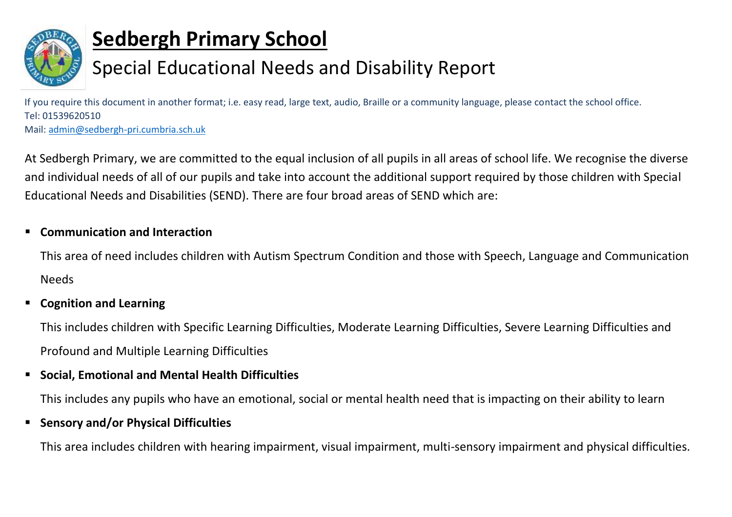

# **Sedbergh Primary School**

# Special Educational Needs and Disability Report

If you require this document in another format; i.e. easy read, large text, audio, Braille or a community language, please contact the school office. Tel: 01539620510

Mail: [admin@sedbergh-pri.cumbria.sch.uk](mailto:admin@sedbergh-pri.cumbria.sch.uk)

At Sedbergh Primary, we are committed to the equal inclusion of all pupils in all areas of school life. We recognise the diverse and individual needs of all of our pupils and take into account the additional support required by those children with Special Educational Needs and Disabilities (SEND). There are four broad areas of SEND which are:

## **Communication and Interaction**

This area of need includes children with Autism Spectrum Condition and those with Speech, Language and Communication Needs

## **Cognition and Learning**

This includes children with Specific Learning Difficulties, Moderate Learning Difficulties, Severe Learning Difficulties and Profound and Multiple Learning Difficulties

## **Social, Emotional and Mental Health Difficulties**

This includes any pupils who have an emotional, social or mental health need that is impacting on their ability to learn

#### **F** Sensory and/or Physical Difficulties

This area includes children with hearing impairment, visual impairment, multi-sensory impairment and physical difficulties.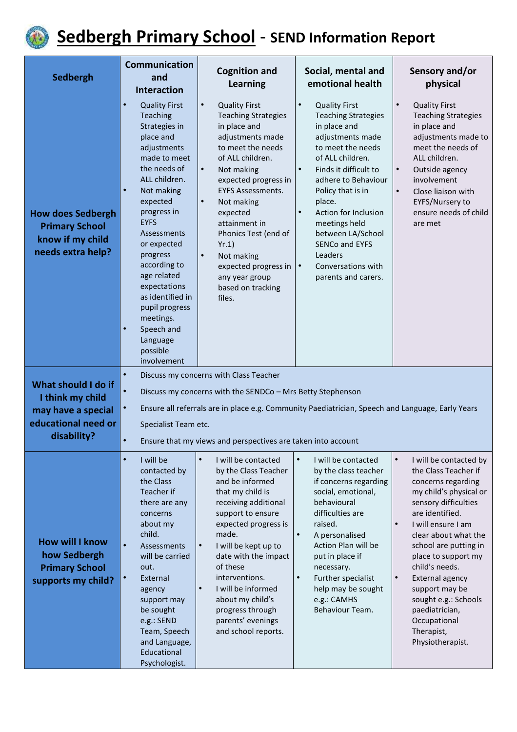

# **Sedbergh Primary School** - **SEND Information Report**

|                                                                                                     | <b>Communication</b>                                                                                                                                                                                                                                                                                                                                                                                                                  | <b>Cognition and</b>                                                                                                                                                                                                                                                                                                                                                                                                     | Social, mental and                                                                                                                                                                                                                                                                                                                                                                                                | Sensory and/or                                                                                                                                                                                                                                                                                                                                                                                                       |
|-----------------------------------------------------------------------------------------------------|---------------------------------------------------------------------------------------------------------------------------------------------------------------------------------------------------------------------------------------------------------------------------------------------------------------------------------------------------------------------------------------------------------------------------------------|--------------------------------------------------------------------------------------------------------------------------------------------------------------------------------------------------------------------------------------------------------------------------------------------------------------------------------------------------------------------------------------------------------------------------|-------------------------------------------------------------------------------------------------------------------------------------------------------------------------------------------------------------------------------------------------------------------------------------------------------------------------------------------------------------------------------------------------------------------|----------------------------------------------------------------------------------------------------------------------------------------------------------------------------------------------------------------------------------------------------------------------------------------------------------------------------------------------------------------------------------------------------------------------|
| Sedbergh                                                                                            | and<br><b>Interaction</b>                                                                                                                                                                                                                                                                                                                                                                                                             | <b>Learning</b>                                                                                                                                                                                                                                                                                                                                                                                                          | emotional health                                                                                                                                                                                                                                                                                                                                                                                                  | physical                                                                                                                                                                                                                                                                                                                                                                                                             |
| <b>How does Sedbergh</b><br><b>Primary School</b><br>know if my child<br>needs extra help?          | $\bullet$<br><b>Quality First</b><br>Teaching<br>Strategies in<br>place and<br>adjustments<br>made to meet<br>the needs of<br>ALL children.<br>Not making<br>$\bullet$<br>expected<br>progress in<br><b>EYFS</b><br><b>Assessments</b><br>or expected<br>progress<br>according to<br>age related<br>expectations<br>as identified in<br>pupil progress<br>meetings.<br>$\bullet$<br>Speech and<br>Language<br>possible<br>involvement | $\bullet$<br><b>Quality First</b><br><b>Teaching Strategies</b><br>in place and<br>adjustments made<br>to meet the needs<br>of ALL children.<br>Not making<br>$\bullet$<br>expected progress in<br><b>EYFS Assessments.</b><br>Not making<br>$\bullet$<br>expected<br>attainment in<br>Phonics Test (end of<br>Yr.1)<br>$\bullet$<br>Not making<br>expected progress in<br>any year group<br>based on tracking<br>files. | $\bullet$<br><b>Quality First</b><br><b>Teaching Strategies</b><br>in place and<br>adjustments made<br>to meet the needs<br>of ALL children.<br>Finds it difficult to<br>$\bullet$<br>adhere to Behaviour<br>Policy that is in<br>place.<br>Action for Inclusion<br>$\bullet$<br>meetings held<br>between LA/School<br><b>SENCo and EYFS</b><br>Leaders<br>$\bullet$<br>Conversations with<br>parents and carers. | $\bullet$<br><b>Quality First</b><br><b>Teaching Strategies</b><br>in place and<br>adjustments made to<br>meet the needs of<br>ALL children.<br>Outside agency<br>$\bullet$<br>involvement<br>Close liaison with<br>$\bullet$<br>EYFS/Nursery to<br>ensure needs of child<br>are met                                                                                                                                 |
| What should I do if<br>I think my child<br>may have a special<br>educational need or<br>disability? | $\bullet$<br>Discuss my concerns with Class Teacher<br>$\bullet$<br>Discuss my concerns with the SENDCo - Mrs Betty Stephenson<br>$\bullet$<br>Ensure all referrals are in place e.g. Community Paediatrician, Speech and Language, Early Years<br>Specialist Team etc.<br>$\bullet$<br>Ensure that my views and perspectives are taken into account                                                                                  |                                                                                                                                                                                                                                                                                                                                                                                                                          |                                                                                                                                                                                                                                                                                                                                                                                                                   |                                                                                                                                                                                                                                                                                                                                                                                                                      |
| <b>How will I know</b><br>how Sedbergh<br><b>Primary School</b><br>supports my child?               | I will be<br>$\bullet$<br>contacted by<br>the Class<br>Teacher if<br>there are any<br>concerns<br>about my<br>child.<br>$\bullet$<br><b>Assessments</b><br>will be carried<br>out.<br>External<br>$\bullet$<br>agency<br>support may<br>be sought<br>e.g.: SEND<br>Team, Speech<br>and Language,<br>Educational<br>Psychologist.                                                                                                      | $\bullet$<br>I will be contacted<br>by the Class Teacher<br>and be informed<br>that my child is<br>receiving additional<br>support to ensure<br>expected progress is<br>made.<br>I will be kept up to<br>$\bullet$<br>date with the impact<br>of these<br>interventions.<br>I will be informed<br>$\bullet$<br>about my child's<br>progress through<br>parents' evenings<br>and school reports.                          | $\bullet$<br>I will be contacted<br>by the class teacher<br>if concerns regarding<br>social, emotional,<br>behavioural<br>difficulties are<br>raised.<br>$\bullet$<br>A personalised<br>Action Plan will be<br>put in place if<br>necessary.<br>$\bullet$<br>Further specialist<br>help may be sought<br>e.g.: CAMHS<br>Behaviour Team.                                                                           | I will be contacted by<br>$\bullet$<br>the Class Teacher if<br>concerns regarding<br>my child's physical or<br>sensory difficulties<br>are identified.<br>I will ensure I am<br>clear about what the<br>school are putting in<br>place to support my<br>child's needs.<br>External agency<br>$\bullet$<br>support may be<br>sought e.g.: Schools<br>paediatrician,<br>Occupational<br>Therapist,<br>Physiotherapist. |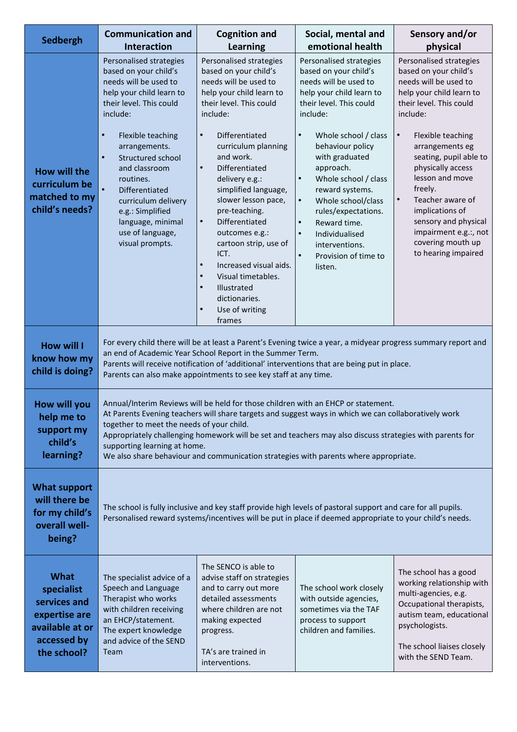| Sedbergh                                                                                                    | <b>Communication and</b><br><b>Interaction</b>                                                                                                                                                                                                                                                                                                                                                        | <b>Cognition and</b><br>Learning                                                                                                                                                                                                                                                                                                                                                                                                                                                                                                                                                   | Social, mental and<br>emotional health                                                                                                                                                                                                                                                                                                                                                                                                                                               | Sensory and/or<br>physical                                                                                                                                                                                                                                                                                                                                                                                                      |
|-------------------------------------------------------------------------------------------------------------|-------------------------------------------------------------------------------------------------------------------------------------------------------------------------------------------------------------------------------------------------------------------------------------------------------------------------------------------------------------------------------------------------------|------------------------------------------------------------------------------------------------------------------------------------------------------------------------------------------------------------------------------------------------------------------------------------------------------------------------------------------------------------------------------------------------------------------------------------------------------------------------------------------------------------------------------------------------------------------------------------|--------------------------------------------------------------------------------------------------------------------------------------------------------------------------------------------------------------------------------------------------------------------------------------------------------------------------------------------------------------------------------------------------------------------------------------------------------------------------------------|---------------------------------------------------------------------------------------------------------------------------------------------------------------------------------------------------------------------------------------------------------------------------------------------------------------------------------------------------------------------------------------------------------------------------------|
| How will the<br>curriculum be<br>matched to my<br>child's needs?                                            | Personalised strategies<br>based on your child's<br>needs will be used to<br>help your child learn to<br>their level. This could<br>include:<br>Flexible teaching<br>$\bullet$<br>arrangements.<br>$\bullet$<br>Structured school<br>and classroom<br>routines.<br>$\bullet$<br>Differentiated<br>curriculum delivery<br>e.g.: Simplified<br>language, minimal<br>use of language,<br>visual prompts. | Personalised strategies<br>based on your child's<br>needs will be used to<br>help your child learn to<br>their level. This could<br>include:<br>Differentiated<br>$\bullet$<br>curriculum planning<br>and work.<br>$\bullet$<br>Differentiated<br>delivery e.g.:<br>simplified language,<br>slower lesson pace,<br>pre-teaching.<br>$\bullet$<br>Differentiated<br>outcomes e.g.:<br>cartoon strip, use of<br>ICT.<br>Increased visual aids.<br>$\bullet$<br>Visual timetables.<br>$\bullet$<br>Illustrated<br>$\bullet$<br>dictionaries.<br>$\bullet$<br>Use of writing<br>frames | Personalised strategies<br>based on your child's<br>needs will be used to<br>help your child learn to<br>their level. This could<br>include:<br>$\bullet$<br>Whole school / class<br>behaviour policy<br>with graduated<br>approach.<br>$\bullet$<br>Whole school / class<br>reward systems.<br>$\bullet$<br>Whole school/class<br>rules/expectations.<br>$\bullet$<br>Reward time.<br>$\bullet$<br>Individualised<br>interventions.<br>Provision of time to<br>$\bullet$<br>listen. | Personalised strategies<br>based on your child's<br>needs will be used to<br>help your child learn to<br>their level. This could<br>include:<br>Flexible teaching<br>$\bullet$<br>arrangements eg<br>seating, pupil able to<br>physically access<br>lesson and move<br>freely.<br>$\bullet$<br>Teacher aware of<br>implications of<br>sensory and physical<br>impairment e.g.:, not<br>covering mouth up<br>to hearing impaired |
| <b>How will I</b><br>know how my<br>child is doing?                                                         | For every child there will be at least a Parent's Evening twice a year, a midyear progress summary report and<br>an end of Academic Year School Report in the Summer Term.<br>Parents will receive notification of 'additional' interventions that are being put in place.<br>Parents can also make appointments to see key staff at any time.                                                        |                                                                                                                                                                                                                                                                                                                                                                                                                                                                                                                                                                                    |                                                                                                                                                                                                                                                                                                                                                                                                                                                                                      |                                                                                                                                                                                                                                                                                                                                                                                                                                 |
| How will you<br>help me to<br>support my<br>child's<br>learning?                                            | together to meet the needs of your child.<br>supporting learning at home.                                                                                                                                                                                                                                                                                                                             |                                                                                                                                                                                                                                                                                                                                                                                                                                                                                                                                                                                    | Annual/Interim Reviews will be held for those children with an EHCP or statement.<br>At Parents Evening teachers will share targets and suggest ways in which we can collaboratively work<br>Appropriately challenging homework will be set and teachers may also discuss strategies with parents for<br>We also share behaviour and communication strategies with parents where appropriate.                                                                                        |                                                                                                                                                                                                                                                                                                                                                                                                                                 |
| What support<br>will there be<br>for my child's<br>overall well-<br>being?                                  | The school is fully inclusive and key staff provide high levels of pastoral support and care for all pupils.<br>Personalised reward systems/incentives will be put in place if deemed appropriate to your child's needs.                                                                                                                                                                              |                                                                                                                                                                                                                                                                                                                                                                                                                                                                                                                                                                                    |                                                                                                                                                                                                                                                                                                                                                                                                                                                                                      |                                                                                                                                                                                                                                                                                                                                                                                                                                 |
| <b>What</b><br>specialist<br>services and<br>expertise are<br>available at or<br>accessed by<br>the school? | The specialist advice of a<br>Speech and Language<br>Therapist who works<br>with children receiving<br>an EHCP/statement.<br>The expert knowledge<br>and advice of the SEND<br>Team                                                                                                                                                                                                                   | The SENCO is able to<br>advise staff on strategies<br>and to carry out more<br>detailed assessments<br>where children are not<br>making expected<br>progress.<br>TA's are trained in<br>interventions.                                                                                                                                                                                                                                                                                                                                                                             | The school work closely<br>with outside agencies,<br>sometimes via the TAF<br>process to support<br>children and families.                                                                                                                                                                                                                                                                                                                                                           | The school has a good<br>working relationship with<br>multi-agencies, e.g.<br>Occupational therapists,<br>autism team, educational<br>psychologists.<br>The school liaises closely<br>with the SEND Team.                                                                                                                                                                                                                       |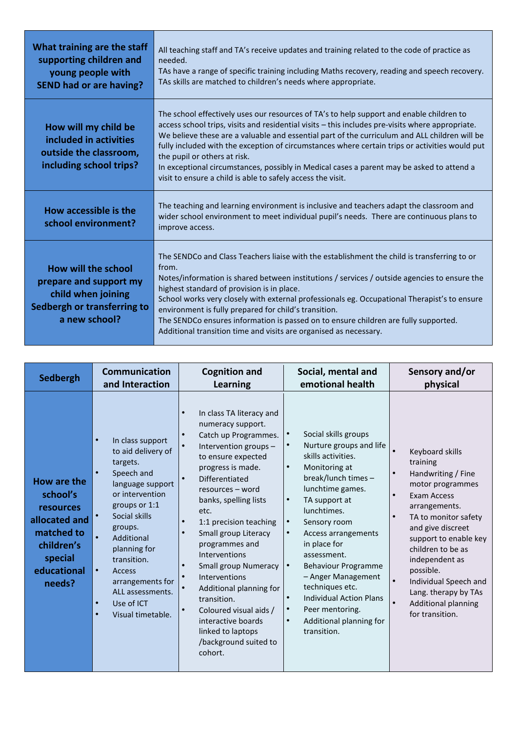| What training are the staff<br>supporting children and<br>young people with<br><b>SEND had or are having?</b>       | All teaching staff and TA's receive updates and training related to the code of practice as<br>needed.<br>TAs have a range of specific training including Maths recovery, reading and speech recovery.<br>TAs skills are matched to children's needs where appropriate.                                                                                                                                                                                                                                                                                                                     |
|---------------------------------------------------------------------------------------------------------------------|---------------------------------------------------------------------------------------------------------------------------------------------------------------------------------------------------------------------------------------------------------------------------------------------------------------------------------------------------------------------------------------------------------------------------------------------------------------------------------------------------------------------------------------------------------------------------------------------|
| How will my child be<br>included in activities<br>outside the classroom,<br>including school trips?                 | The school effectively uses our resources of TA's to help support and enable children to<br>access school trips, visits and residential visits - this includes pre-visits where appropriate.<br>We believe these are a valuable and essential part of the curriculum and ALL children will be<br>fully included with the exception of circumstances where certain trips or activities would put<br>the pupil or others at risk.<br>In exceptional circumstances, possibly in Medical cases a parent may be asked to attend a<br>visit to ensure a child is able to safely access the visit. |
| How accessible is the<br>school environment?                                                                        | The teaching and learning environment is inclusive and teachers adapt the classroom and<br>wider school environment to meet individual pupil's needs. There are continuous plans to<br>improve access.                                                                                                                                                                                                                                                                                                                                                                                      |
| How will the school<br>prepare and support my<br>child when joining<br>Sedbergh or transferring to<br>a new school? | The SENDCo and Class Teachers liaise with the establishment the child is transferring to or<br>from.<br>Notes/information is shared between institutions / services / outside agencies to ensure the<br>highest standard of provision is in place.<br>School works very closely with external professionals eg. Occupational Therapist's to ensure<br>environment is fully prepared for child's transition.<br>The SENDCo ensures information is passed on to ensure children are fully supported.<br>Additional transition time and visits are organised as necessary.                     |

| <b>Sedbergh</b>                                                                                                              | <b>Communication</b>                                                                                                                                                                                                                                                                                                                                                        | <b>Cognition and</b>                                                                                                                                                                                                                                                                                                                                                                                                                                                                                                                     | Social, mental and                                                                                                                                                                                                                                                                                                                                                                                                                                                                                                                              | Sensory and/or                                                                                                                                                                                                                                                                                                                    |
|------------------------------------------------------------------------------------------------------------------------------|-----------------------------------------------------------------------------------------------------------------------------------------------------------------------------------------------------------------------------------------------------------------------------------------------------------------------------------------------------------------------------|------------------------------------------------------------------------------------------------------------------------------------------------------------------------------------------------------------------------------------------------------------------------------------------------------------------------------------------------------------------------------------------------------------------------------------------------------------------------------------------------------------------------------------------|-------------------------------------------------------------------------------------------------------------------------------------------------------------------------------------------------------------------------------------------------------------------------------------------------------------------------------------------------------------------------------------------------------------------------------------------------------------------------------------------------------------------------------------------------|-----------------------------------------------------------------------------------------------------------------------------------------------------------------------------------------------------------------------------------------------------------------------------------------------------------------------------------|
|                                                                                                                              | and Interaction                                                                                                                                                                                                                                                                                                                                                             | <b>Learning</b>                                                                                                                                                                                                                                                                                                                                                                                                                                                                                                                          | emotional health                                                                                                                                                                                                                                                                                                                                                                                                                                                                                                                                | physical                                                                                                                                                                                                                                                                                                                          |
| How are the<br>school's<br><b>resources</b><br>allocated and<br>matched to<br>children's<br>special<br>educational<br>needs? | $\bullet$<br>In class support<br>to aid delivery of<br>targets.<br>Speech and<br>$\bullet$<br>language support<br>or intervention<br>groups or 1:1<br>Social skills<br>groups.<br>$\bullet$<br>Additional<br>planning for<br>transition.<br>$\bullet$<br><b>Access</b><br>arrangements for<br>ALL assessments.<br>Use of ICT<br>$\bullet$<br>Visual timetable.<br>$\bullet$ | In class TA literacy and<br>$\bullet$<br>numeracy support.<br>Catch up Programmes.<br>$\bullet$<br>Intervention groups -<br>to ensure expected<br>progress is made.<br>Differentiated<br>resources – word<br>banks, spelling lists<br>etc.<br>1:1 precision teaching<br>$\bullet$<br>Small group Literacy<br>programmes and<br>Interventions<br>Small group Numeracy<br>Interventions<br>Additional planning for<br>transition.<br>Coloured visual aids /<br>interactive boards<br>linked to laptops<br>/background suited to<br>cohort. | Social skills groups<br>$\bullet$<br>Nurture groups and life<br>$\bullet$<br>skills activities.<br>Monitoring at<br>$\bullet$<br>break/lunch times -<br>lunchtime games.<br>TA support at<br>$\bullet$<br>lunchtimes.<br>$\bullet$<br>Sensory room<br>Access arrangements<br>$\bullet$<br>in place for<br>assessment.<br><b>Behaviour Programme</b><br>$\bullet$<br>- Anger Management<br>techniques etc.<br><b>Individual Action Plans</b><br>$\bullet$<br>$\bullet$<br>Peer mentoring.<br>Additional planning for<br>$\bullet$<br>transition. | Keyboard skills<br>training<br>Handwriting / Fine<br>motor programmes<br>Exam Access<br>arrangements.<br>TA to monitor safety<br>and give discreet<br>support to enable key<br>children to be as<br>independent as<br>possible.<br>Individual Speech and<br>Lang. therapy by TAs<br><b>Additional planning</b><br>for transition. |